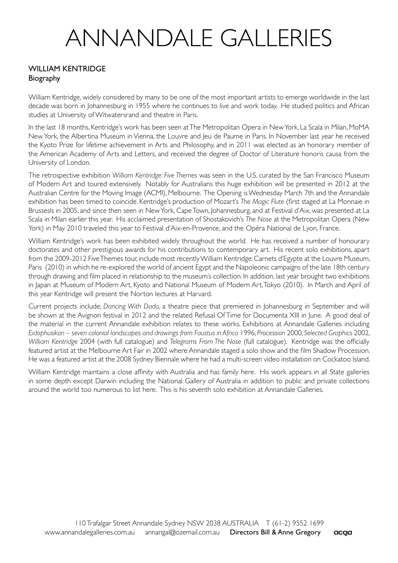# ANNANDALE GALLERIES

### WILLIAM KENTRIDGE Biography

William Kentridge, widely considered by many to be one of the most important artists to emerge worldwide in the last decade was born in Johannesburg in 1955 where he continues to live and work today. He studied politics and African studies at University of Witwatersrand and theatre in Paris.

In the last 18 months, Kentridge's work has been seen at The Metropolitan Opera in New York, La Scala in Milan, MoMA New York, the Albertina Museum in Vienna, the Louvre and Jeu de Paume in Paris. In November last year he received the Kyoto Prize for lifetime achievement in Arts and Philosophy, and in 2011 was elected as an honorary member of the American Academy of Arts and Letters, and received the degree of Doctor of Literature honoris causa from the University of London.

The retrospective exhibition *William Kentridge: Five Themes* was seen in the U.S. curated by the San Francisco Museum of Modern Art and toured extensively. Notably for Australians this huge exhibition will be presented in 2012 at the Australian Centre for the Moving Image (ACMI), Melbourne. The Opening is Wednesday March 7th and the Annandale exhibition has been timed to coincide. Kentridge's production of Mozart's *The Magic Flute* (first staged at La Monnaie in Brussesls in 2005, and since then seen in New York, Cape Town, Johannesburg, and at Festival d'Aix, was presented at La Scala in Milan earlier this year. His acclaimed presentation of Shostakovich's *The Nose* at the Metropolitan Opera (New York) in May 2010 traveled this year to Festival d'Aix-en-Provence, and the Opéra National de Lyon, France.

William Kentridge's work has been exhibited widely throughout the world. He has received a number of honourary doctorates and other prestigious awards for his contributions to contemporary art. His recent solo exhibitions, apart from the 2009-2012 Five Themes tour, include most recently William Kentridge: Carnets d'Egypte at the Louvre Museum, Paris (2010) in which he re-explored the world of ancient Egypt and the Napoleonic campaigns of the late 18th century through drawing and film placed in relationship to the museum's collection. In addition, last year brought two exhibitions in Japan at Museum of Modern Art, Kyoto and National Museum of Modern Art, Tokyo (2010). In March and April of this year Kentridge will present the Norton lectures at Harvard.

Current projects include; *Dancing With Dada*, a theatre piece that premiered in Johannesburg in September and will be shown at the Avignon festival in 2012 and the related Refusal Of Time for Documenta XIII in June. A good deal of the material in the current Annandale exhibition relates to these works. Exhibitions at Annandale Galleries including *Eidophusikon – seven colonial landscapes and drawings from Faustus in Africa* 1996, *Procession* 2000, *Selected Graphics* 2002, *William Kentridge* 2004 (with full catalogue) and *Telegrams From The Nose* (full catalogue). Kentridge was the officially featured artist at the Melbourne Art Fair in 2002 where Annandale staged a solo show and the film Shadow Procession. He was a featured artist at the 2008 Sydney Biennale where he had a multi-screen video installation on Cockatoo Island.

William Kentridge maintains a close affinity with Australia and has family here. His work appears in all State galleries in some depth except Darwin including the National Gallery of Australia in addition to public and private collections around the world too numerous to list here. This is his seventh solo exhibition at Annandale Galleries.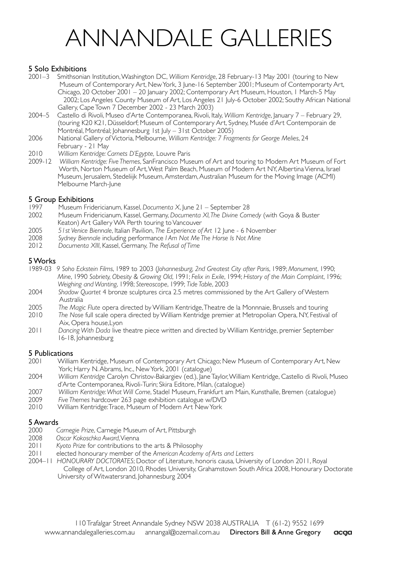# ANNANDALE GALLERIES

#### 5 Solo Exhibitions

- 2001–3 Smithsonian Institution, Washington DC, *William Kentridge*, 28 February-13 May 2001 (touring to New Museum of Contemporary Art, New York, 3 June-16 September 2001; Museum of Contemporarty Art, Chicago, 20 October 2001 – 20 January 2002; Contemporary Art Museum, Houston, 1 March-5 May 2002; Los Angeles County Museum of Art, Los Angeles 21 July-6 October 2002; Southy African National Gallery, Cape Town 7 December 2002 - 23 March 2003)<br>2004–5 Castello di Rivoli. Museo d'Arte Contemporanea Rivoli It
- 2004–5 Castello di Rivoli, Museo d'Arte Contemporanea, Rivoli, Italy, *William Kentridge*, January 7 February 29, (touring K20 K21, Düsseldorf; Museum of Contemporary Art, Sydney, Musée d'Art Contemporain de Montréal, Montréal; Johannesburg 1st July – 31st October 2005)<br>2006 — National Gallery of Victoria Melbourne *William Kentridge: 7 Erno*r
- 2006 National Gallery of Victoria, Melbourne, *William Kentridge: 7 Fragments for George Melies*, 24 February - 21 May
- 2010 *William Kentridge: Carnets D'Egypte,* Louvre Paris
- 2009-12 *William Kentridge: Five Themes*, SanFrancisco Museum of Art and touring to Modern Art Museum of Fort Worth, Norton Museum of Art, West Palm Beach, Museum of Modern Art NY, Albertina Vienna, Israel Museum, Jerusalem, Stedeliijk Museum, Amsterdam, Australian Museum for the Moving Image (ACMI) Melbourne March-June

## **5 Group Exhibitions**<br>1997 Museum Frid

- 1997 Museum Fridericianum, Kassel, *Documenta X*, June 21 September 28
- 2002 Museum Fridericianum, Kassel, Germany, *Documenta XI, The Divine Comedy* (with Goya & Buster Keaton) Art Gallery WA Perth touring to Vancouver<br>2005 51st Venice Biennale, Italian Pavilion, The Experience of
- 2005 *51st Venice Biennale*, Italian Pavilion, *The Experience of Art* 12 June 6 November
- 2008 *Sydney Biennale* including performance *I Am Not Me The Horse Is Not Mine*
- 2012 *Documenta XIII*, Kassel, Germany, *The Refusal of Time*

#### 5 Works

- 1989-03 *9 Soho Eckstein Films*, 1989 to 2003 (*Johannesburg, 2nd Greatest City after Paris*, 1989; *Monument*, 1990; *Mine*, 1990 *Sobriety, Obesity & Growing Old*, 1991; *Felix in Exile*, 1994; *History of the Main Complaint*, 1996; *Weighing and Wanting*, 1998; *Stereoscope*, 1999; *Tide Table*, 2003
- 2004 *Shadow Quartet* 4 bronze sculptures circa 2.5 metres commissioned by the Art Gallery of Western Australia
- 2005 *The Magic Flute* opera directed by William Kentridge, Theatre de la Monnnaie, Brussels and touring
- 2010 *The Nose* full scale opera directed by William Kentridge premier at Metropolian Opera, NY, Festival of Aix, Opera house,Lyon
- 2011 *Dancing With Dada* live theatre piece written and directed by William Kentridge, premier September 16-18, Johannesburg

## **5 Publications**<br>2001 **Willian**

- 2001 William Kentridge, Museum of Contemporary Art Chicago; New Museum of Contemporary Art, New York; Harry N. Abrams, Inc., New York, 2001 (catalogue)
- 2004 *William Kentridge* Carolyn Christov-Bakargiev (ed.), Jane Taylor, William Kentridge, Castello di Rivoli, Museo d'Arte Contemporanea, Rivoli-Turin; Skira Editore, Milan, (catalogue)
- 2007 *William Kentridge: What Will Come*, Stadel Museum, Frankfurt am Main, Kunsthalle, Bremen (catalogue)
- 2009 *Five Themes* hardcover 263 page exhibition catalogue w/DVD
- 2010 William Kentridge: Trace, Museum of Modern Art New York

## 5 Awards

- 2000 *Carnegie Prize*, Carnegie Museum of Art, Pittsburgh
- 2008 *Oscar Kokoschka Award*, Vienna
- 2011 *Kyoto Prize* for contributions to the arts & Philosophy
- 2011 elected honourary member of the *American Academy of Arts and Letters*
- 2004–11 *HONOURARY DOCTORATES*; Doctor of Literature, honoris causa, University of London 2011, Royal College of Art, London 2010, Rhodes University, Grahamstown South Africa 2008, Honourary Doctorate University of Witwatersrand, Johannesburg 2004